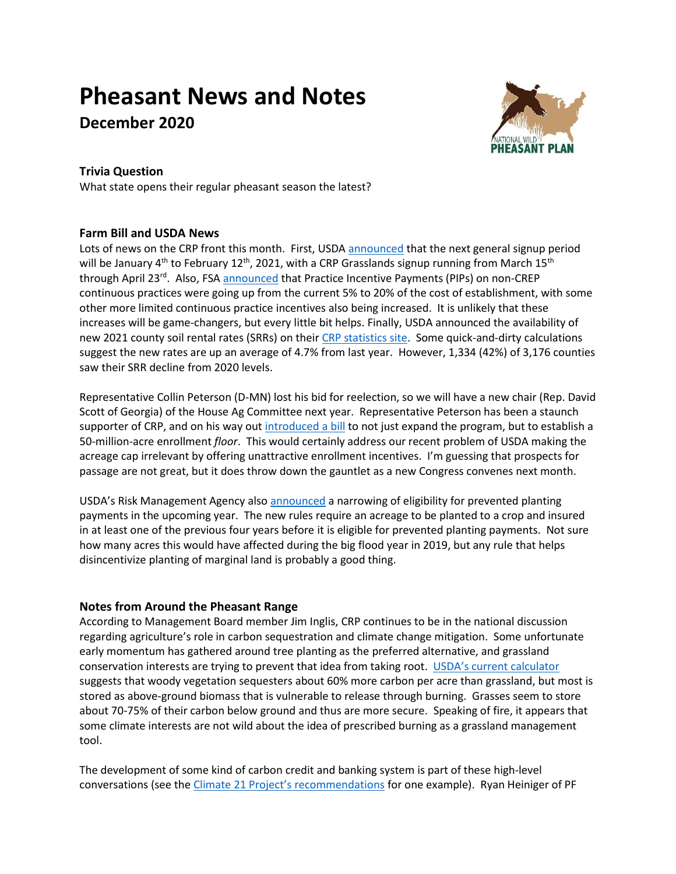# **Pheasant News and Notes**

**December 2020**



# **Trivia Question**

What state opens their regular pheasant season the latest?

## **Farm Bill and USDA News**

Lots of news on the CRP front this month. First, USD[A announced](https://www.fsa.usda.gov/news-room/news-releases/2020/usda-to-open-signup-for-the-conservation-reserve-program-and-crp-grasslands-in-early-2021) that the next general signup period will be January  $4^{th}$  to February 12<sup>th</sup>, 2021, with a CRP Grasslands signup running from March 15<sup>th</sup> through April 23<sup>rd</sup>. Also, FSA [announced](https://www.fsa.usda.gov/Internet/FSA_Notice/crp_918.pdf) that Practice Incentive Payments (PIPs) on non-CREP continuous practices were going up from the current 5% to 20% of the cost of establishment, with some other more limited continuous practice incentives also being increased. It is unlikely that these increases will be game-changers, but every little bit helps. Finally, USDA announced the availability of new 2021 county soil rental rates (SRRs) on thei[r CRP statistics site.](https://www.fsa.usda.gov/programs-and-services/conservation-programs/reports-and-statistics/conservation-reserve-program-statistics/index) Some quick-and-dirty calculations suggest the new rates are up an average of 4.7% from last year. However, 1,334 (42%) of 3,176 counties saw their SRR decline from 2020 levels.

Representative Collin Peterson (D-MN) lost his bid for reelection, so we will have a new chair (Rep. David Scott of Georgia) of the House Ag Committee next year. Representative Peterson has been a staunch supporter of CRP, and on his way out [introduced a bill](https://agriculture.house.gov/news/documentsingle.aspx?DocumentID=2050) to not just expand the program, but to establish a 50-million-acre enrollment *floor*. This would certainly address our recent problem of USDA making the acreage cap irrelevant by offering unattractive enrollment incentives. I'm guessing that prospects for passage are not great, but it does throw down the gauntlet as a new Congress convenes next month.

USDA's Risk Management Agency also [announced](https://rma.usda.gov/en/News-Room/Press/Press-Releases/2020-News/USDA-Announces-Implementation-of-Improvements-to-Prevented-Planting-Coverage) a narrowing of eligibility for prevented planting payments in the upcoming year. The new rules require an acreage to be planted to a crop and insured in at least one of the previous four years before it is eligible for prevented planting payments. Not sure how many acres this would have affected during the big flood year in 2019, but any rule that helps disincentivize planting of marginal land is probably a good thing.

## **Notes from Around the Pheasant Range**

According to Management Board member Jim Inglis, CRP continues to be in the national discussion regarding agriculture's role in carbon sequestration and climate change mitigation. Some unfortunate early momentum has gathered around tree planting as the preferred alternative, and grassland conservation interests are trying to prevent that idea from taking root. [USDA's current calculator](http://comet-planner.nrel.colostate.edu/) suggests that woody vegetation sequesters about 60% more carbon per acre than grassland, but most is stored as above-ground biomass that is vulnerable to release through burning. Grasses seem to store about 70-75% of their carbon below ground and thus are more secure. Speaking of fire, it appears that some climate interests are not wild about the idea of prescribed burning as a grassland management tool.

The development of some kind of carbon credit and banking system is part of these high-level conversations (see the [Climate 21 Project's recommendations](https://climate21.org/documents/C21_USDA.pdf) for one example). Ryan Heiniger of PF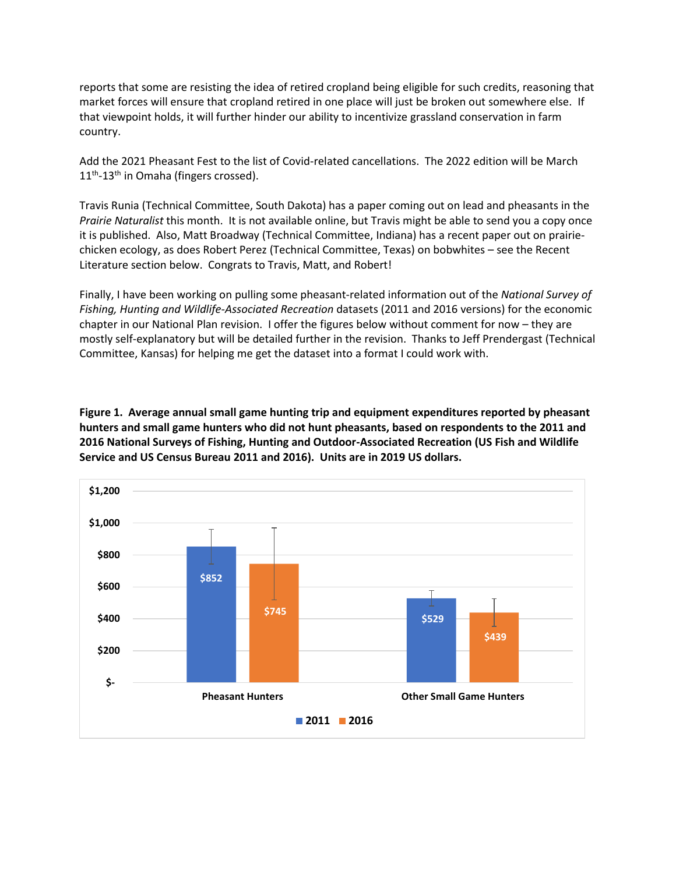reports that some are resisting the idea of retired cropland being eligible for such credits, reasoning that market forces will ensure that cropland retired in one place will just be broken out somewhere else. If that viewpoint holds, it will further hinder our ability to incentivize grassland conservation in farm country.

Add the 2021 Pheasant Fest to the list of Covid-related cancellations. The 2022 edition will be March 11<sup>th</sup>-13<sup>th</sup> in Omaha (fingers crossed).

Travis Runia (Technical Committee, South Dakota) has a paper coming out on lead and pheasants in the *Prairie Naturalist* this month. It is not available online, but Travis might be able to send you a copy once it is published. Also, Matt Broadway (Technical Committee, Indiana) has a recent paper out on prairiechicken ecology, as does Robert Perez (Technical Committee, Texas) on bobwhites – see the Recent Literature section below. Congrats to Travis, Matt, and Robert!

Finally, I have been working on pulling some pheasant-related information out of the *National Survey of Fishing, Hunting and Wildlife-Associated Recreation* datasets (2011 and 2016 versions) for the economic chapter in our National Plan revision. I offer the figures below without comment for now – they are mostly self-explanatory but will be detailed further in the revision. Thanks to Jeff Prendergast (Technical Committee, Kansas) for helping me get the dataset into a format I could work with.

**Figure 1. Average annual small game hunting trip and equipment expenditures reported by pheasant hunters and small game hunters who did not hunt pheasants, based on respondents to the 2011 and 2016 National Surveys of Fishing, Hunting and Outdoor-Associated Recreation (US Fish and Wildlife Service and US Census Bureau 2011 and 2016). Units are in 2019 US dollars.**

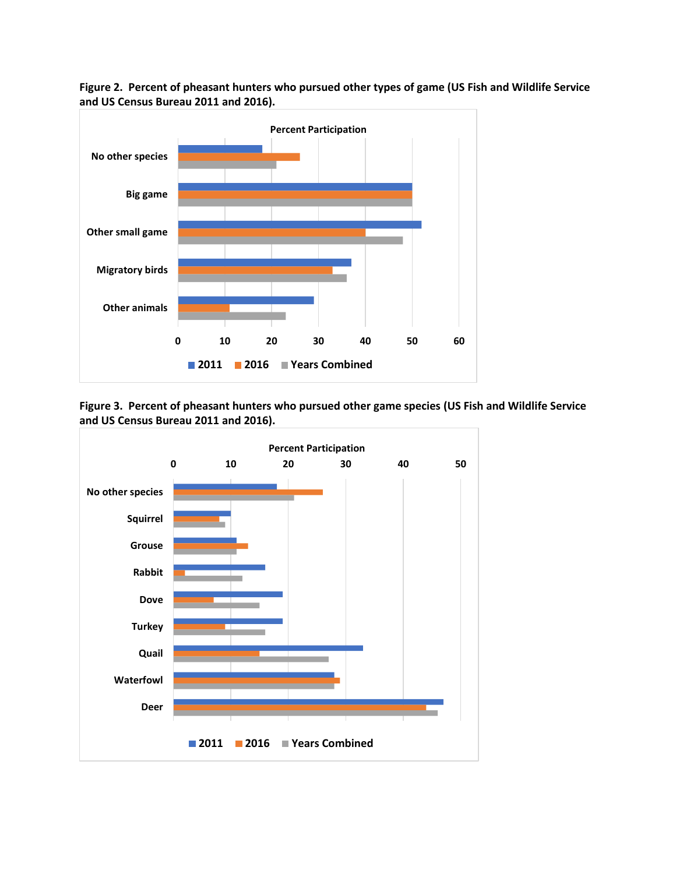

**Figure 2. Percent of pheasant hunters who pursued other types of game (US Fish and Wildlife Service and US Census Bureau 2011 and 2016).**

**Figure 3. Percent of pheasant hunters who pursued other game species (US Fish and Wildlife Service and US Census Bureau 2011 and 2016).**

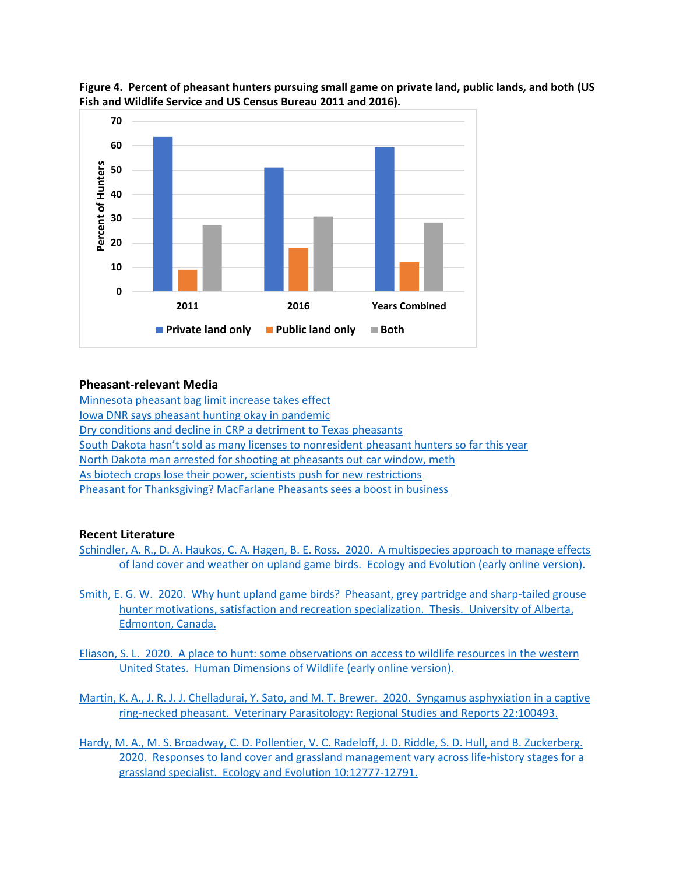

**Figure 4. Percent of pheasant hunters pursuing small game on private land, public lands, and both (US Fish and Wildlife Service and US Census Bureau 2011 and 2016).**

#### **Pheasant-relevant Media**

[Minnesota pheasant bag limit increase takes effect](https://www.keyc.com/2020/12/01/pheasant-bag-limit-increase-takes-effect/) [Iowa DNR says pheasant hunting okay in pandemic](https://www.radioiowa.com/2020/11/27/dnr-says-pheasant-hunting-okay-in-pandemic/) [Dry conditions and decline in CRP a detriment to Texas pheasants](https://www.houstonchronicle.com/texas-sports-nation/general/article/Dry-conditions-and-decline-in-CRP-a-detriment-to-15770035.php) [South Dakota hasn't sold as many licenses to nonresident pheasant hunters so far this year](https://www.keloland.com/news/capitol-news-bureau/south-dakota-hasnt-sold-as-many-licenses-to-nonresident-pheasant-hunters-so-far-this-year/) [North Dakota man arrested for shooting at pheasants out car window, meth](https://www.kfyrtv.com/2020/11/05/man-arrested-for-shooting-at-pheasants-out-car-window/) [As biotech crops lose their power, scientists push for new restrictions](https://www.npr.org/2020/10/29/927111009/as-biotech-crops-lose-their-power-scientists-push-for-new-restrictions) [Pheasant for Thanksgiving? MacFarlane Pheasants sees a boost in business](https://www.wizmnews.com/2020/11/25/pheasant-for-thanksgiving-macfarlane-pheasants-sees-a-boost-in-business/)

### **Recent Literature**

- [Schindler, A. R., D. A. Haukos, C. A. Hagen, B. E. Ross. 2020. A multispecies approach to manage effects](https://doi.org/10.1002/ece3.7034)  [of land cover and weather on upland game birds. Ecology and Evolution \(early online version\).](https://doi.org/10.1002/ece3.7034)
- [Smith, E. G. W. 2020. Why hunt upland game birds? Pheasant, grey partridge and sharp-tailed grouse](https://era.library.ualberta.ca/items/e37bdbc8-c598-4866-91b0-992503ca3d5c)  [hunter motivations, satisfaction and recreation specialization. Thesis. University of Alberta,](https://era.library.ualberta.ca/items/e37bdbc8-c598-4866-91b0-992503ca3d5c)  [Edmonton,](https://era.library.ualberta.ca/items/e37bdbc8-c598-4866-91b0-992503ca3d5c) Canada.
- [Eliason, S. L. 2020. A place to hunt: some observations on access to wildlife resources in the western](https://doi.org/10.1080/10871209.2020.1839604)  [United States. Human Dimensions of Wildlife](https://doi.org/10.1080/10871209.2020.1839604) (early online version).

[Martin, K. A., J. R. J. J. Chelladurai, Y. Sato, and M. T. Brewer. 2020. Syngamus](https://doi.org/10.1016/j.vprsr.2020.100493) asphyxiation in a captive [ring-necked pheasant. Veterinary Parasitology: Regional Studies and Reports](https://doi.org/10.1016/j.vprsr.2020.100493) 22:100493.

Hardy, M. A., M. S. [Broadway, C. D. Pollentier, V. C. Radeloff, J. D. Riddle, S. D. Hull, and B. Zuckerberg.](https://doi.org/10.1002/ece3.6805)  2020. Responses to land cover and grassland management vary across life-history stages for a [grassland specialist. Ecology and Evolution](https://doi.org/10.1002/ece3.6805) 10:12777-12791.